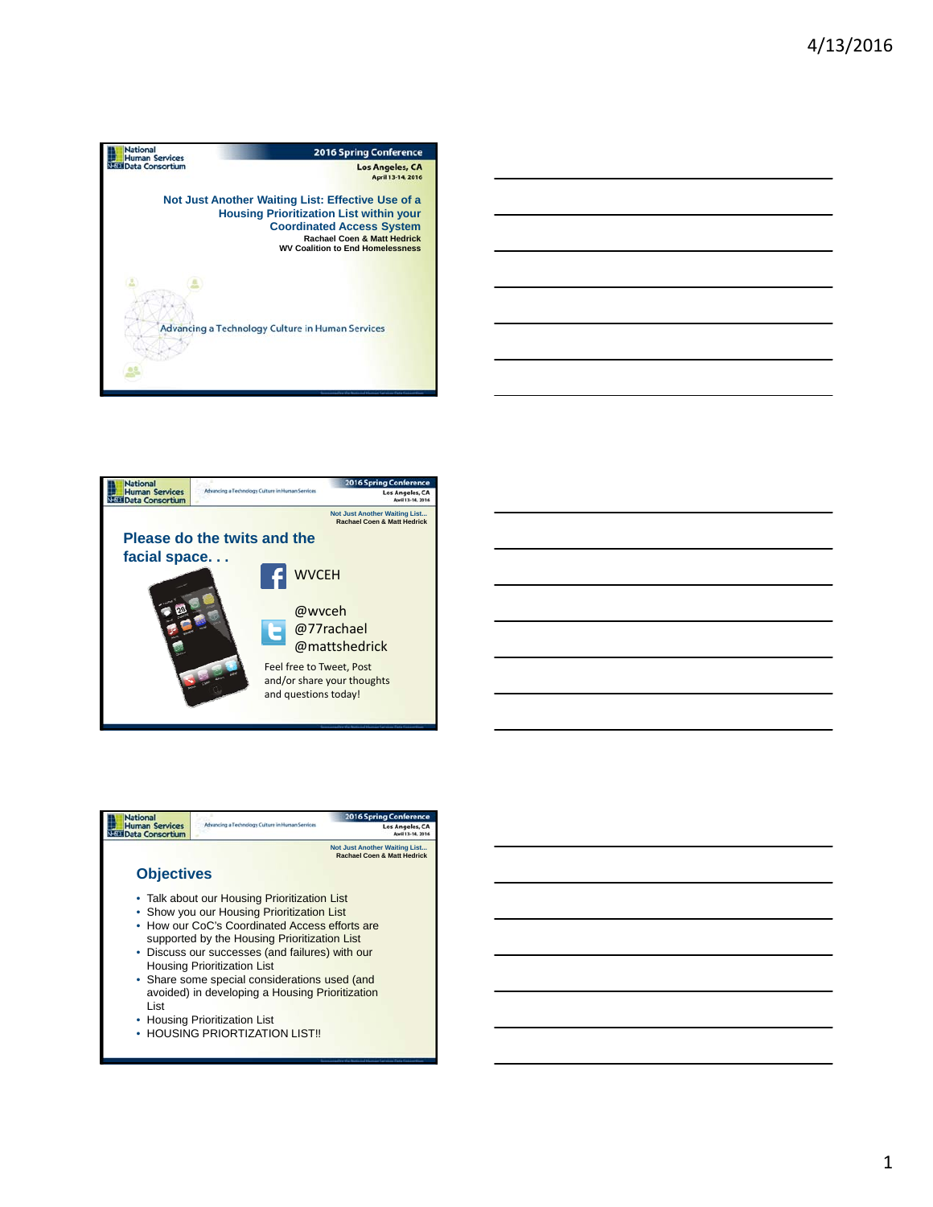







1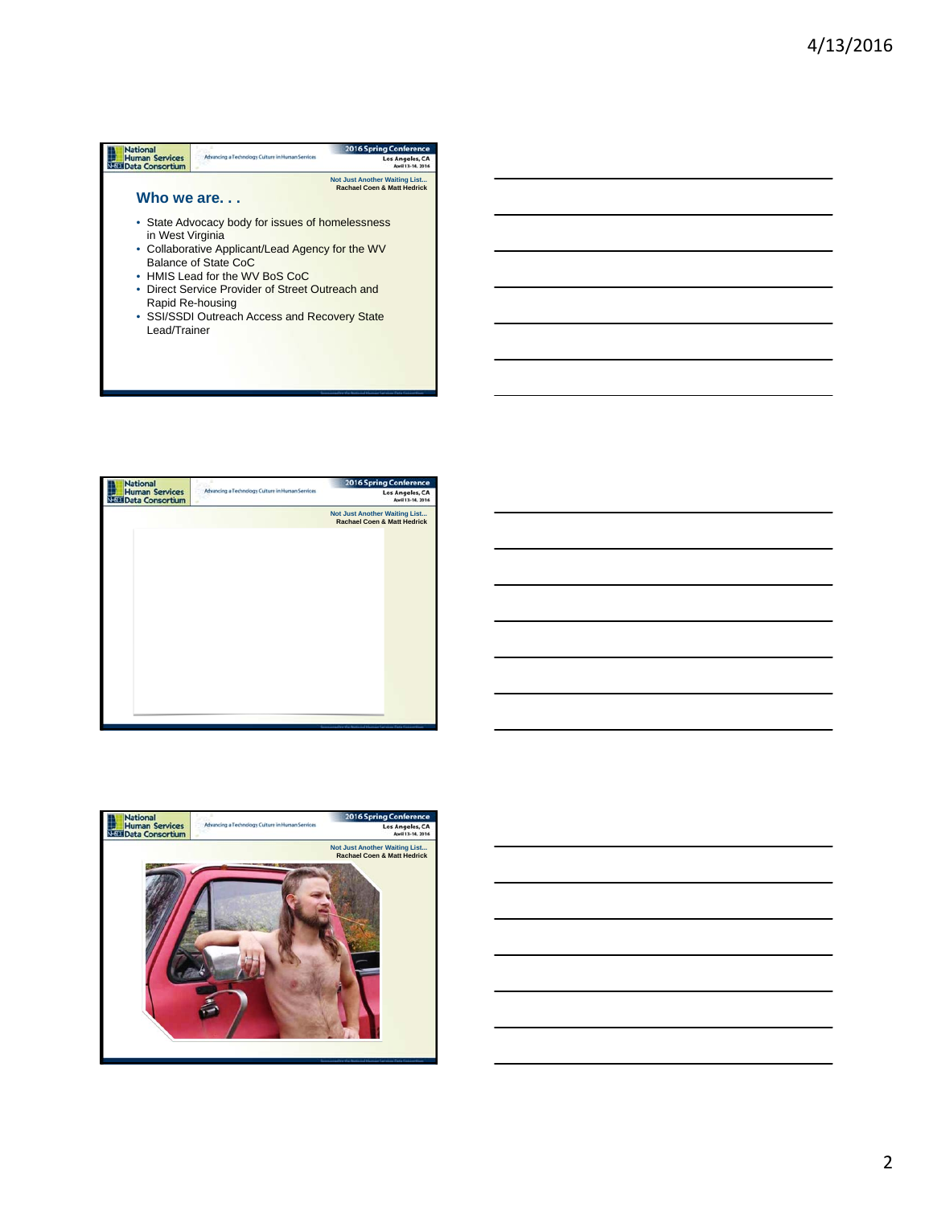## **Mational**<br>**Human Services**<br>NEEM Data Consortium 2016 Spring Confe Advancing a Technology Culture in Human Services Los Angeles, CA **Not Just Another Waiting List... Rachael Coen & Matt Hedrick Who we are. . .**  • State Advocacy body for issues of homelessness in West Virginia • Collaborative Applicant/Lead Agency for the WV Balance of State CoC • HMIS Lead for the WV BoS CoC • Direct Service Provider of Street Outreach and Rapid Re-housing • SSI/SSDI Outreach Access and Recovery State Lead/Trainer



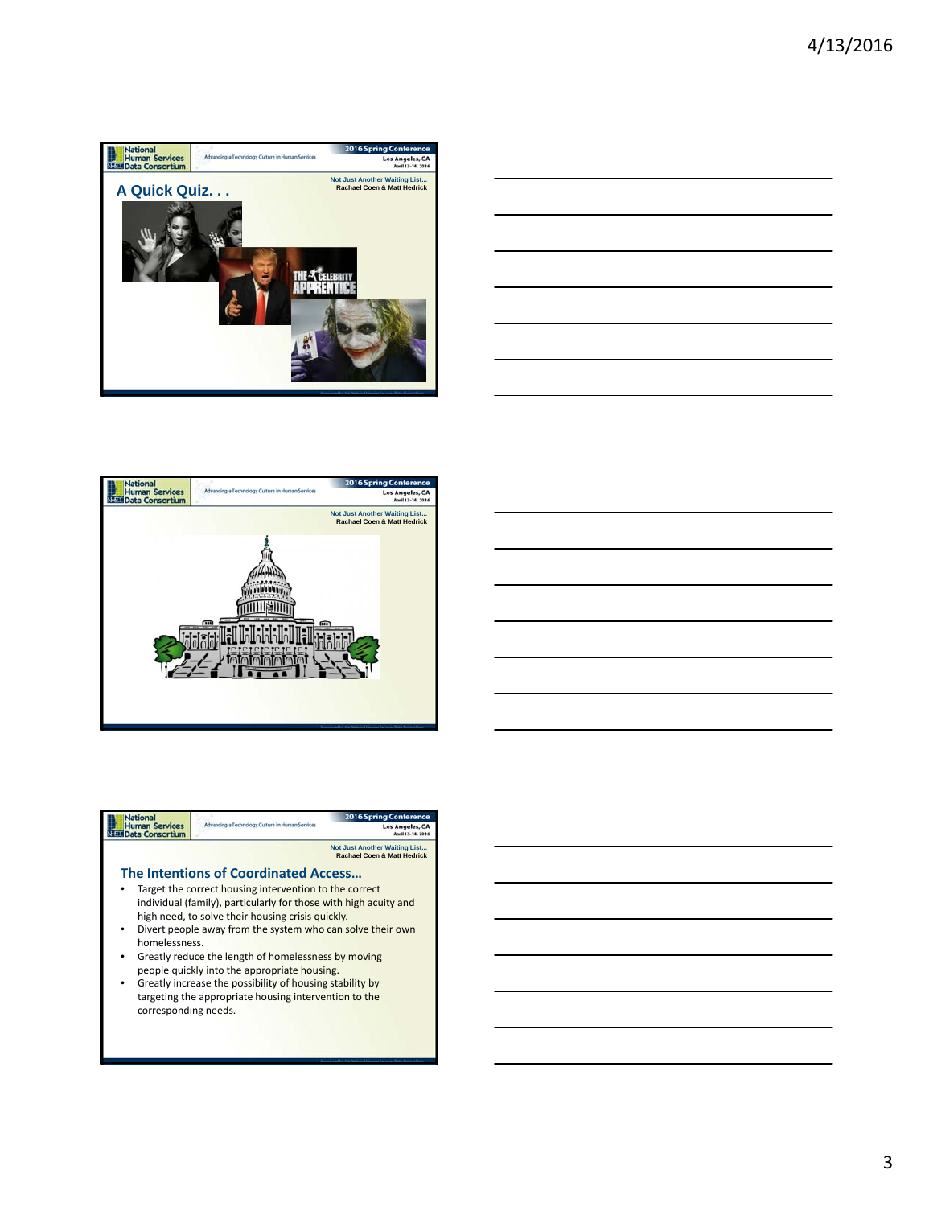







|                                                 |                                                                  | Conference<br>Spring                                                           |
|-------------------------------------------------|------------------------------------------------------------------|--------------------------------------------------------------------------------|
| <b>Human Services</b><br><b>Data Consortium</b> | Advancing a Technology Culture in Human Services                 | Los Angeles, C                                                                 |
|                                                 |                                                                  | <b>Not Just Another Waiting List</b><br><b>Rachael Coen &amp; Matt Hedrick</b> |
|                                                 | <b>The Intentions of Coordinated Access</b>                      |                                                                                |
|                                                 | Target the correct housing intervention to the correct           |                                                                                |
|                                                 | individual (family), particularly for those with high acuity and |                                                                                |
|                                                 | high need, to solve their housing crisis quickly.                |                                                                                |
| $\bullet$                                       | Divert people away from the system who can solve their own       |                                                                                |
| homelessness.                                   |                                                                  |                                                                                |
|                                                 | Greatly reduce the length of homelessness by moving              |                                                                                |
|                                                 | people quickly into the appropriate housing.                     |                                                                                |
| ٠                                               | Greatly increase the possibility of housing stability by         |                                                                                |
|                                                 | targeting the appropriate housing intervention to the            |                                                                                |
| corresponding needs.                            |                                                                  |                                                                                |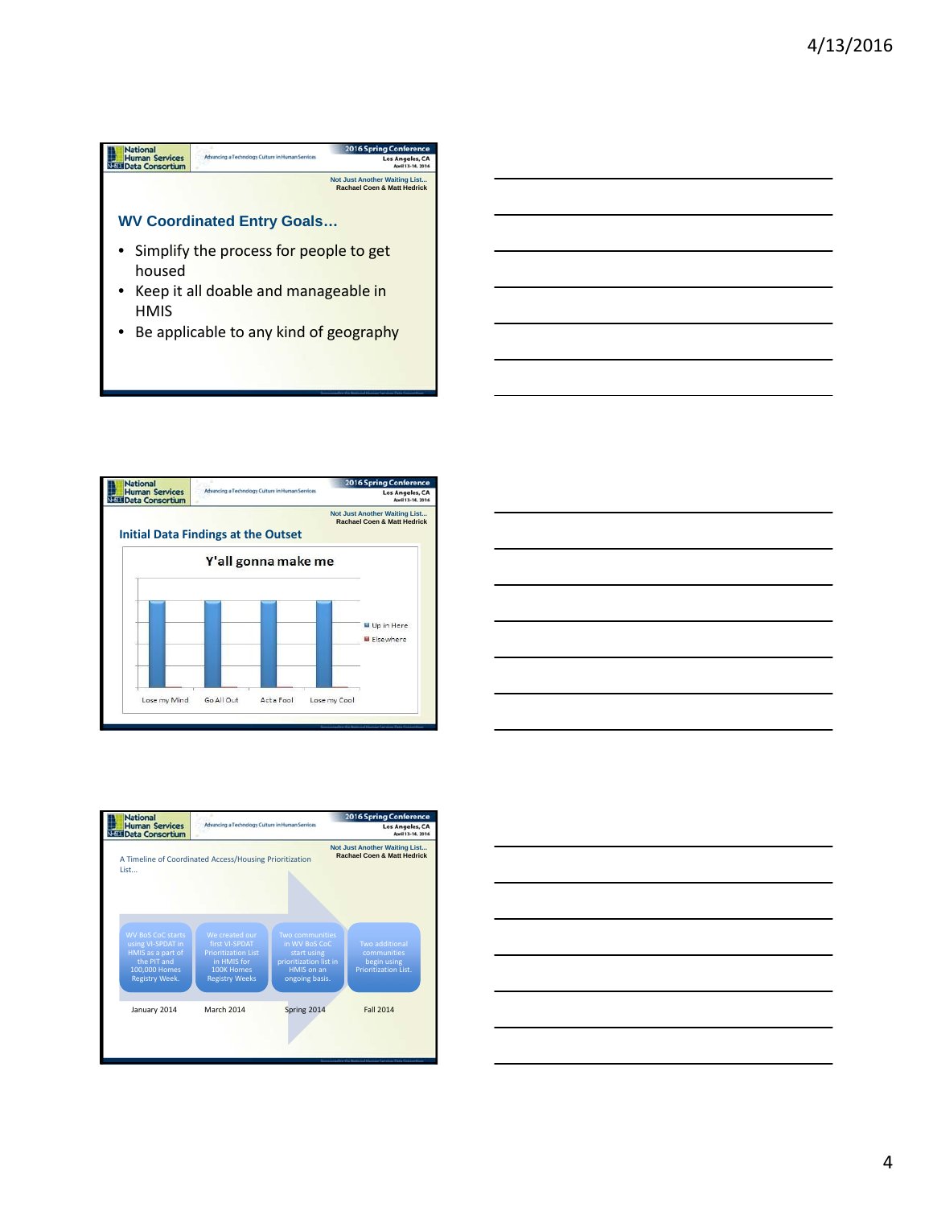



| $\sim$ $\sim$ |  | __ |
|---------------|--|----|
|               |  |    |
|               |  |    |
| --            |  |    |
|               |  |    |
|               |  |    |
|               |  | __ |
|               |  |    |
|               |  |    |
|               |  |    |
|               |  |    |
|               |  |    |
|               |  |    |
|               |  |    |
|               |  |    |
|               |  |    |
|               |  |    |



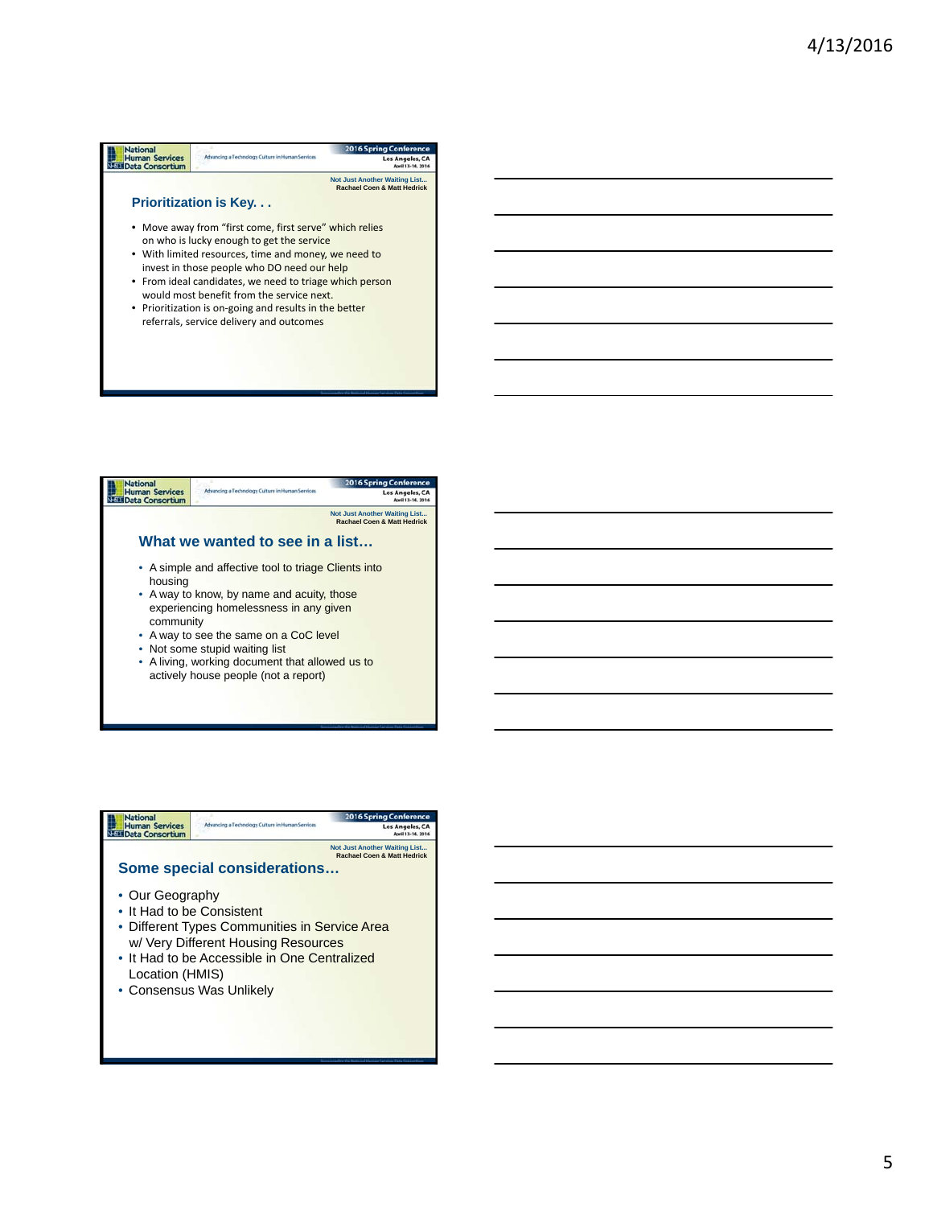## **National**<br> **Human Services**<br> **National Consortium** 2016 Spri ng Cont Advancing a Technology Culture in Homan Sens Los Angeles, CA **Not Just Another Waiting List... Rachael Coen & Matt Hedrick Prioritization is Key. . .**  • Move away from "first come, first serve" which relies on who is lucky enough to get the service • With limited resources, time and money, we need to invest in those people who DO need our help • From ideal candidates, we need to triage which person would most benefit from the service next. • Prioritization is on-going and results in the better referrals, service delivery and outcomes



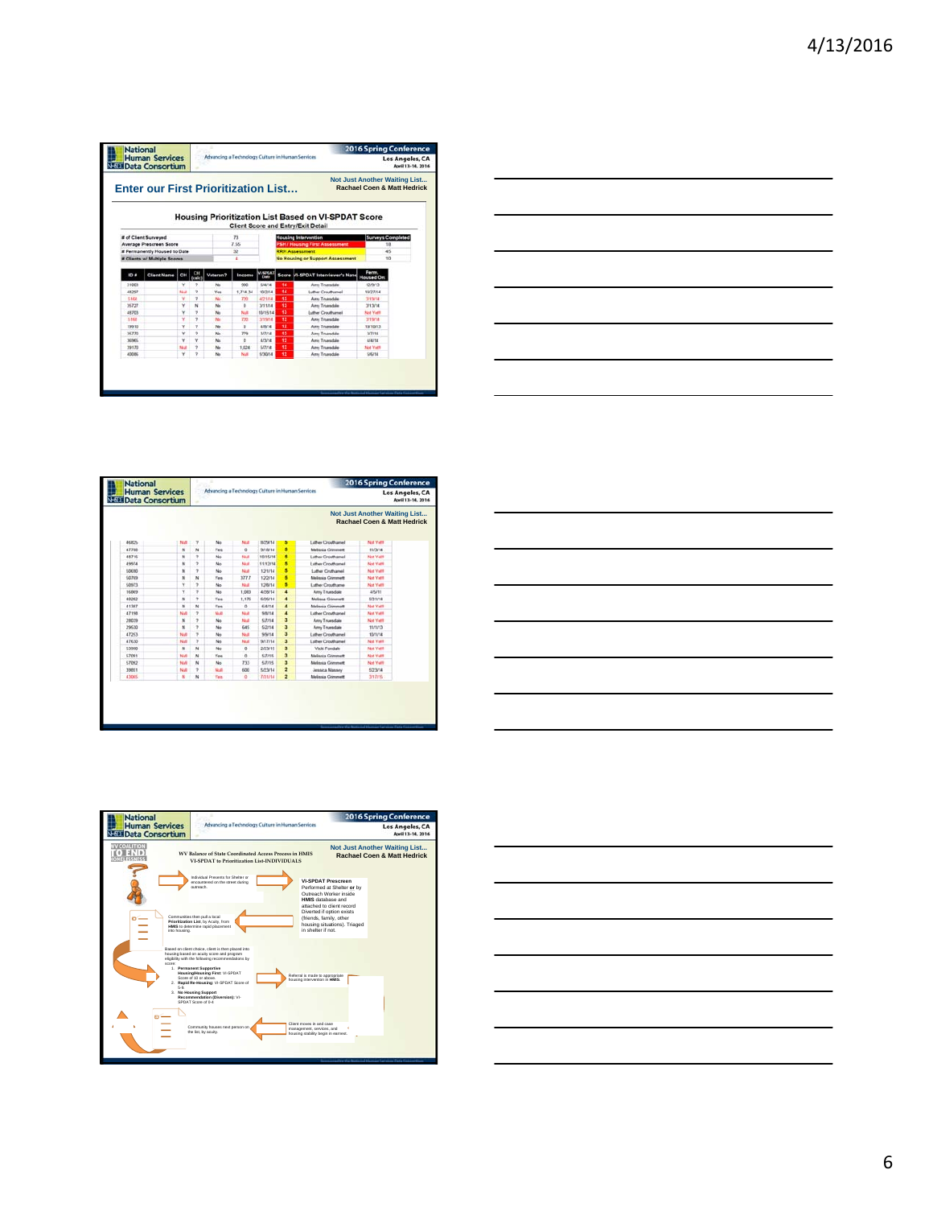|            | <b>Human Services</b><br><b>NESE Data Consortium</b> |          |                          | Advancing a Technology Culture in Human Services |                | Los Angeles, CA<br>April 13-14, 2016 |                                  |                                                                                                         |                                                                                |
|------------|------------------------------------------------------|----------|--------------------------|--------------------------------------------------|----------------|--------------------------------------|----------------------------------|---------------------------------------------------------------------------------------------------------|--------------------------------------------------------------------------------|
|            | <b>Enter our First Prioritization List</b>           |          |                          |                                                  |                |                                      |                                  |                                                                                                         | <b>Not Just Another Waiting List</b><br><b>Rachael Coen &amp; Matt Hedrick</b> |
|            |                                                      |          |                          |                                                  |                |                                      |                                  | <b>Housing Prioritization List Based on VI-SPDAT Score</b><br><b>Client Score and Entry/Exit Detail</b> |                                                                                |
|            | # of Client Surveyed                                 |          |                          |                                                  | 73             |                                      |                                  | <b>Housing Intervention</b>                                                                             | <b>Surveys Completed</b>                                                       |
|            | Average Prescreen Score                              |          |                          |                                                  | 7.55           |                                      |                                  | <b>PSH / Housing First Assessment</b>                                                                   | 1R                                                                             |
|            | # Permanently Housed to Date                         |          |                          |                                                  | $\overline{x}$ |                                      |                                  | <b>RRH Assessment</b>                                                                                   | 45                                                                             |
|            | <b># Clients w/ Multiple Scores</b>                  |          |                          | 4                                                |                |                                      | No Housing or Support Assessment | 10                                                                                                      |                                                                                |
| 10 #       | <b>Client Name</b>                                   | ā        |                          | Veteran?                                         | Income         | <b>Clatte</b>                        |                                  | Score M-SPOAT Interviewer's Nane                                                                        | Perm.<br>Housed On:                                                            |
| 31003      |                                                      | $\omega$ | $\circ$                  | No                                               | 900            | 6/8/14                               | 14                               | Any Truesdale                                                                                           | 12/9/13                                                                        |
| 48297      |                                                      | Nut      | $\overline{ }$           | <b>Yas</b>                                       | 1714.34        | 10/2/14                              | 84                               | Luther Crouthamel                                                                                       | 10/27/14                                                                       |
| 5168       |                                                      | ٧        | $\alpha$                 | No                                               | T20            | <b>A/21/14</b>                       | 13                               | Arry Truesdale                                                                                          | <b>MINUA</b>                                                                   |
| 35727      |                                                      | ٧        | $\overline{\mathbf{M}}$  | No                                               | ö              | 3/11/14                              | 13                               | Arry Truesdale                                                                                          | 3/13/14                                                                        |
| 48203      |                                                      | ٧        | $\overline{\phantom{a}}$ | No                                               | Not            | 10/15/14                             | 33                               | Luther Crouthamel                                                                                       | <b>Not Yett</b>                                                                |
| 5,168      |                                                      | ٧        | ٠                        | <b>No</b>                                        | 720            | 3/19/14                              | 12                               | Arry Truesdale                                                                                          | <b>WHATA</b>                                                                   |
| 19910      |                                                      | ٧        | $\circ$                  | No                                               | $\Omega$       | 4,5014                               | 12                               | Arry Truesdale                                                                                          | 10/10/13                                                                       |
| 35,770     |                                                      | v        | s                        | No                                               | 779            | 3/7/14                               | 12                               | Anny Truendale                                                                                          | 37774                                                                          |
| <b>MMA</b> |                                                      | ۷        | v                        | No                                               | ٠              | 4/3/14                               | 12                               | Any Truesdale                                                                                           | 4/4/14                                                                         |
|            |                                                      | No.      | ٠                        | No                                               | 1,024          | <b>KIT/14</b>                        | 12                               | Any Truesdale                                                                                           | <b>Not Vett</b>                                                                |
| 39170      |                                                      | ٧        | ٠                        | No                                               | Nua            | 5/30/14                              | 12                               | Amy Truesdale                                                                                           | <b>SIG14</b>                                                                   |



| Los Angeles, CA<br>April 13-14, 2016 |                                                                         |                          | Advancing a Technology Culture in Human Services |                | <b>Human Services</b><br><b>NESE Data Consortium</b> |            |                |                          |             |
|--------------------------------------|-------------------------------------------------------------------------|--------------------------|--------------------------------------------------|----------------|------------------------------------------------------|------------|----------------|--------------------------|-------------|
|                                      | Not Just Another Waiting List<br><b>Rachael Coen &amp; Matt Hedrick</b> |                          |                                                  |                |                                                      |            |                |                          |             |
|                                      | Not Yell                                                                | Luther Crouthamel        | ъ                                                | INZW14         | Nulli                                                | No         | <b>y</b>       | Null                     | 46825       |
|                                      | 11/3/14                                                                 | <b>Malissia Grimmatt</b> | s                                                | <b>B/18/14</b> | a                                                    | <b>Yan</b> | $\overline{N}$ | ×.                       | 47788       |
|                                      | <b>Not Valls</b>                                                        | Luther Crouthamel        | в                                                | 10/15/14       | 55.0                                                 | No         | ٠              | N                        | 48716       |
|                                      | Not Yetti                                                               | Luther Crouthamel        | 5                                                | 11/12/14       | Not                                                  | No         | s              | $\mathbf{N}$             | 49974       |
|                                      | Not Yetti                                                               | Luther Cruthamed         | s                                                | 12/1/14        | Not                                                  | No         | ٠              | N                        | 5,0690      |
|                                      | Not Yett                                                                | <b>Melissia Grimmett</b> | 5                                                | 12/2/14        | 377.7                                                | Yes        | N              | $\overline{\mathbf{N}}$  | <b>SONS</b> |
|                                      | Not Yell                                                                | Luther Crochame          | s                                                | 12/0/14        | Nutt                                                 | No         | ٠              | ٧                        | 50973       |
|                                      | <b>A/5/11</b>                                                           | <b>Any Truesdale</b>     | $\overline{a}$                                   | 4/2/M 14       | 1,083                                                | No         | ×              | v                        | 16869       |
|                                      | 5/31/14                                                                 | <b>Melissa Greenett</b>  | 4                                                | 6/26/14        | 1.176                                                | Yes.       | $\rightarrow$  | $\mathbf{M}$             | 40202       |
|                                      | <b>Net Yatt</b>                                                         | <b>Melessia Grimmett</b> | 4                                                | 624/14         | $\ddot{\alpha}$                                      | Yes        | N              | N                        | 41387       |
|                                      | Not Yell                                                                | Luther Crouthamel        | $\overline{a}$                                   | <b>S/S/14</b>  | No                                                   | NA         | ×              | Novel                    | 47198       |
|                                      | Not Yetti                                                               | Anny Truesdale           | $\overline{a}$                                   | 5/7/14         | Not                                                  | No         | ٠              | N                        | 20039       |
|                                      | tinns                                                                   | Arry Truesdale           | 3                                                | 5/2/14         | 645                                                  | No         | ٠              | $\overline{\phantom{a}}$ | 29630       |
|                                      | 10/1/14                                                                 | Luther Crouthamel        | э                                                | 9/9/14         | Null                                                 | No         | y              | <b>No.6</b>              | 47253       |
|                                      | Not Yatt                                                                | Luther Crouthamel        | ä.                                               | 9/17/14        | Null                                                 | No         | $\overline{ }$ | Not                      | 47630       |
|                                      | Not Yetti                                                               | Vicki Fondale            | a                                                | 2/23/15        | $\alpha$                                             | No         | N              | $\boldsymbol{N}$         | 5,3990      |
|                                      | <b>Not Vest</b>                                                         | <b>Melissia Grimmett</b> | $\overline{\mathbf{a}}$                          | S/7/15         | o                                                    | Yes        | N              | Not                      | 57091       |
|                                      | Not Yest                                                                | <b>Melissia Grimmett</b> | a                                                | 6/7/15         | 733                                                  | No         | N              | Not                      | 5,7092      |
|                                      | 5/23/14                                                                 | <b>Jessica Massey</b>    | $\overline{\mathbf{z}}$                          | 5/23/14        | 600                                                  | Null       | ٠              | Not                      | 39851       |
|                                      | 3/17/15                                                                 | Malasia Grimmett         | ż                                                | 7/31/14        | $\alpha$                                             | Yes        | N              | $\mathbf{H}$             | 43005       |





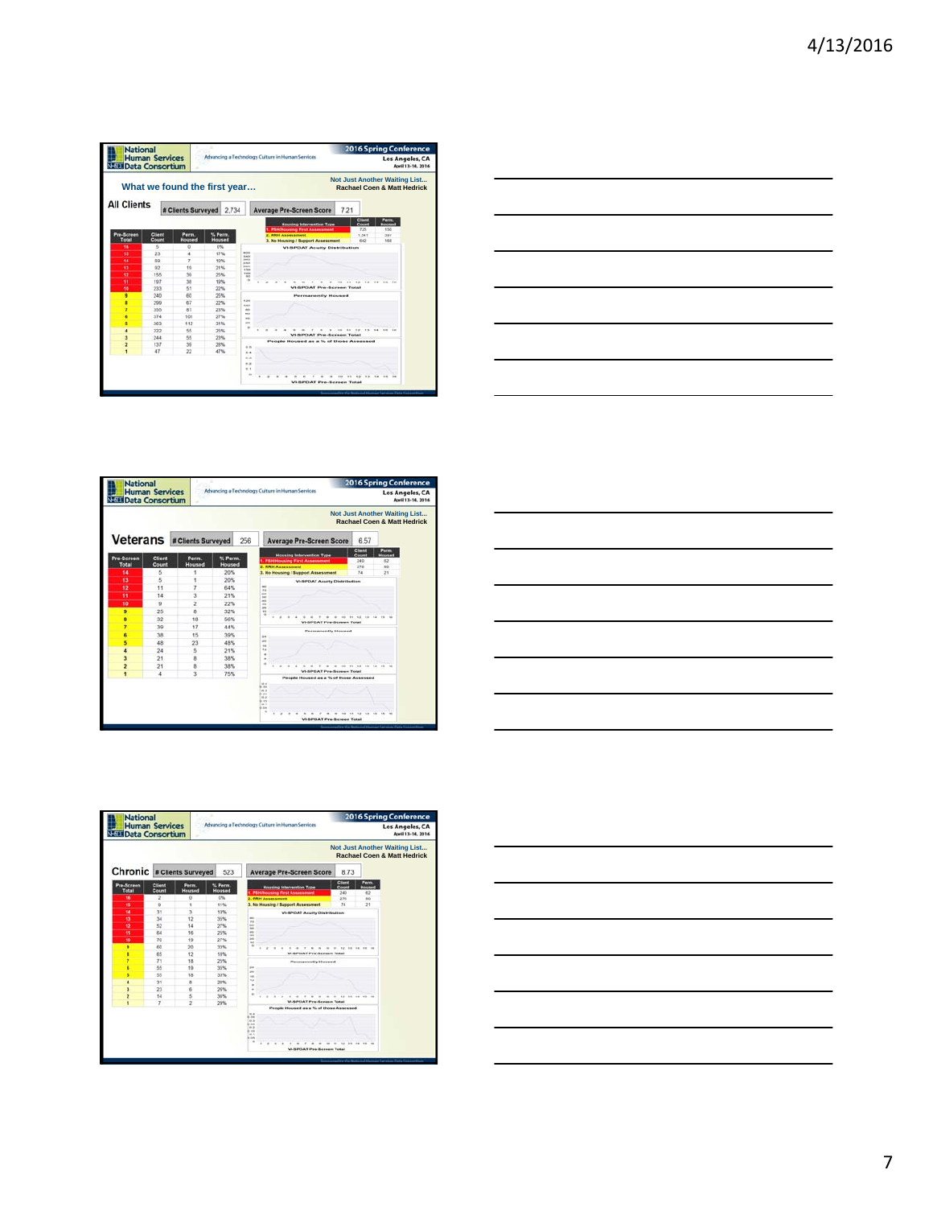| Los Angeles, CA<br>April 13-14, 2016 | <b>2016 Spring Conference</b>                                                  |      | Advancing a Technology Culture in Human Services                          | <b>Human Services</b>            |       | <b>National</b><br><b>NEED Data Consortium</b> |                              |                 |                     |
|--------------------------------------|--------------------------------------------------------------------------------|------|---------------------------------------------------------------------------|----------------------------------|-------|------------------------------------------------|------------------------------|-----------------|---------------------|
|                                      | <b>Not Just Another Waiting List</b><br><b>Rachael Coen &amp; Matt Hedrick</b> |      |                                                                           |                                  |       |                                                | What we found the first year |                 |                     |
|                                      |                                                                                | 7.21 | <b>Average Pre-Screen Score</b>                                           |                                  | 2.734 |                                                | # Clients Surveyed           |                 | <b>All Clients</b>  |
|                                      | Client<br>Perry<br>Count<br>Housed<br>725<br>650                               |      | <b>Housing Infervention Type</b><br><b>PSH/Housing First Assessment</b>   |                                  |       |                                                |                              |                 |                     |
|                                      | 1,541<br>387<br>642<br><b>VAL</b>                                              |      | <b>2. Willie Assessment</b>                                               |                                  |       | % Perm.<br><b>Housed</b>                       | Perm.<br><b>Housed</b>       | Client<br>Count | Pre-Screen<br>Total |
|                                      |                                                                                |      | 3. No Housing / Support Assessment<br><b>VI-SPOAT Acuity Distribution</b> |                                  |       | ON                                             | ö                            | 5               | 16                  |
|                                      |                                                                                |      |                                                                           | <b>ACCO</b>                      |       | 17%                                            | 4                            | 23              | 15                  |
|                                      |                                                                                |      |                                                                           | <b>SAR</b><br>pour<br><b>ASK</b> |       | 10%                                            | z                            | 69              | 14                  |
|                                      |                                                                                |      |                                                                           | <b>John</b><br><b>A</b> Hank     |       | 21%                                            | 19                           | 92              | 13                  |
|                                      |                                                                                |      |                                                                           | ton<br>ext.                      |       | 25%                                            | 36                           | 155             | 12                  |
|                                      |                                                                                |      |                                                                           | $\ddot{ }$                       |       | 19%                                            | 38                           | 197             | Ħ                   |
|                                      |                                                                                |      | <b>VI-SPOAT Pro-Screen Total</b>                                          |                                  |       | 22%                                            | 51                           | 233             | 18                  |
|                                      |                                                                                |      | Permanently Housed                                                        |                                  |       | 26%                                            | 60                           | 240             | ٠                   |
|                                      |                                                                                |      |                                                                           | <b>A SHA</b><br><b>SOL</b>       |       | 22%                                            | 67                           | 299             | ٠                   |
|                                      |                                                                                |      |                                                                           | mo.                              |       | 23%                                            | 81                           | 355             | ï                   |
|                                      |                                                                                |      |                                                                           | no.<br>$\leftarrow$              |       | 27%                                            | 101                          | 374             | ٠                   |
|                                      |                                                                                |      |                                                                           | <b>HERE</b>                      |       | 31%                                            | 112                          | 363             | š                   |
|                                      | 11.1                                                                           |      |                                                                           | ٠                                |       | 25%                                            | 55                           | 222             | 4                   |
|                                      |                                                                                |      | <b>Vi-SPOAY Pro-Screen Total</b>                                          |                                  |       | 23%                                            | 55                           | 244             | s                   |
|                                      |                                                                                |      | People Housed as a % of those Assessed                                    | 44.95                            |       | 28%                                            | 39 <sup>2</sup>              | 137             | ż                   |
|                                      |                                                                                |      |                                                                           | $\cdots$                         |       | 47%                                            | 22                           | 47              | ٠                   |
|                                      |                                                                                |      |                                                                           | 46.3                             |       |                                                |                              |                 |                     |
|                                      |                                                                                |      |                                                                           | $\sim$<br>                       |       |                                                |                              |                 |                     |
|                                      |                                                                                |      |                                                                           |                                  |       |                                                |                              |                 |                     |
|                                      |                                                                                |      | VI-SPOAT Pro-Server Total                                                 |                                  |       |                                                |                              |                 |                     |





| the contract of the contract of the contract of the contract of the contract of |  |
|---------------------------------------------------------------------------------|--|
|                                                                                 |  |



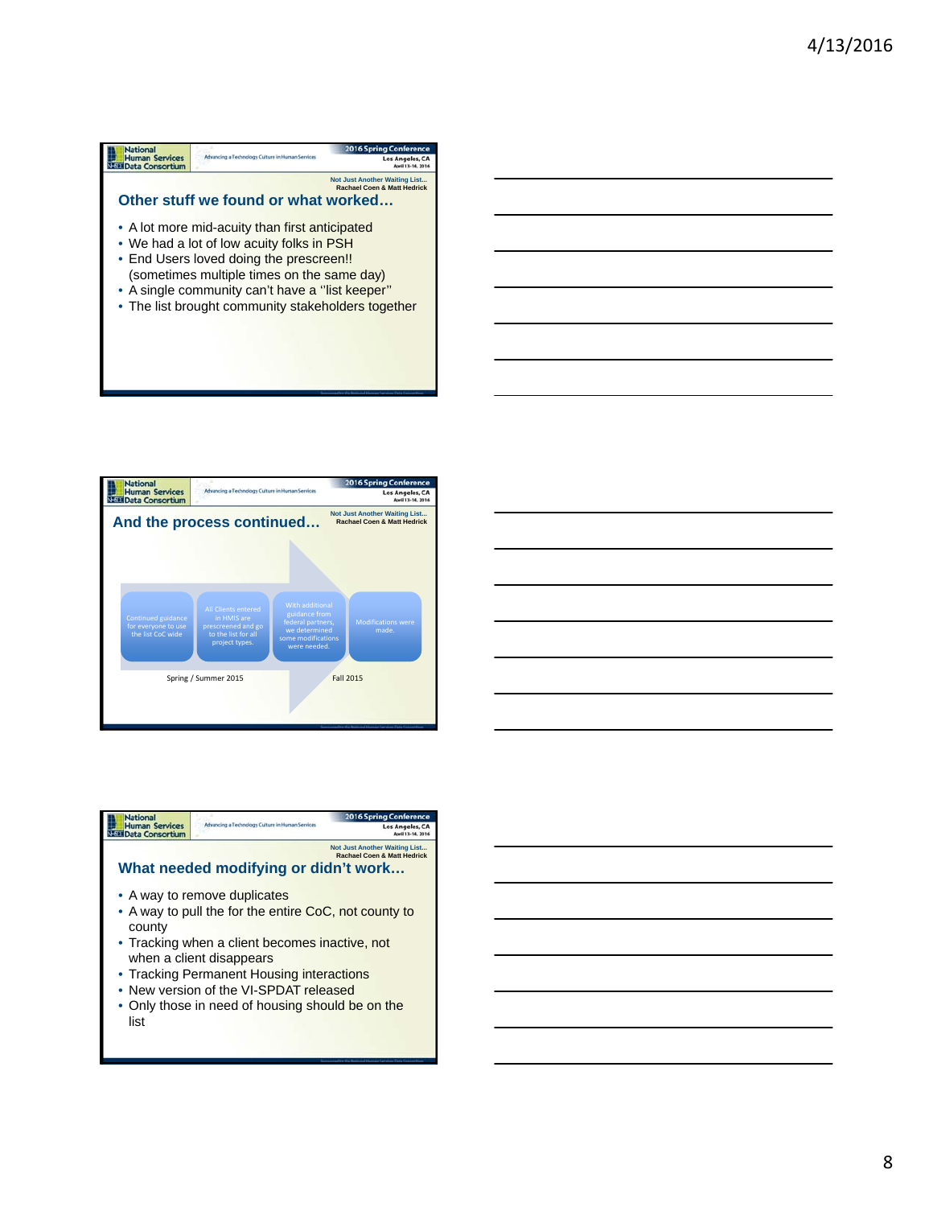





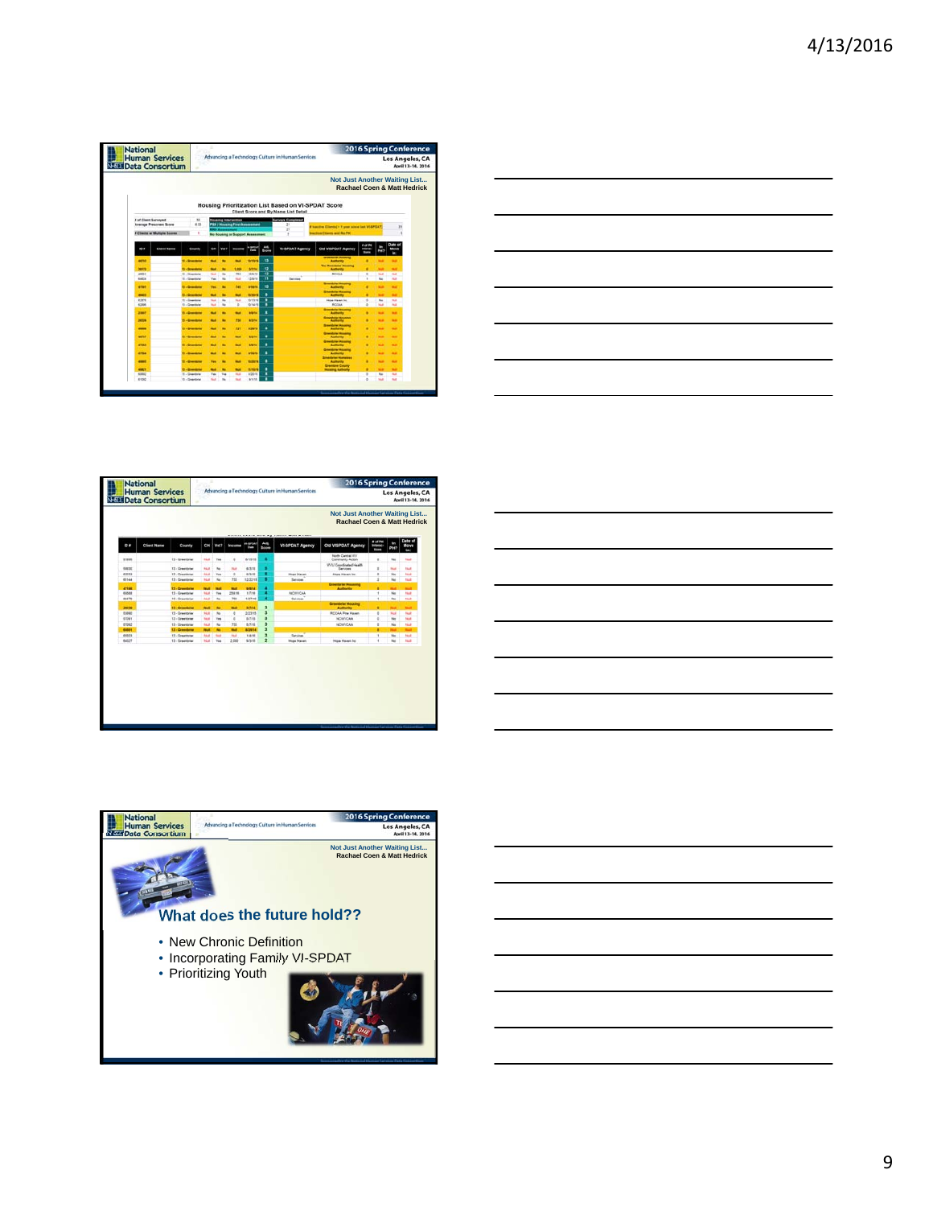| <b>Human Services</b>               | <b>National</b><br>Advancing a Technology Culture in Human Services<br><b>NEED Data Consortium</b> |              |                          |                                         |                   |              |                                                                                             |                                                                                |                                |                 | Los Angeles, CA<br>April 13-14, 2016 |  |
|-------------------------------------|----------------------------------------------------------------------------------------------------|--------------|--------------------------|-----------------------------------------|-------------------|--------------|---------------------------------------------------------------------------------------------|--------------------------------------------------------------------------------|--------------------------------|-----------------|--------------------------------------|--|
|                                     |                                                                                                    |              |                          |                                         |                   |              |                                                                                             | <b>Not Just Another Waiting List</b><br><b>Rachael Coen &amp; Matt Hedrick</b> |                                |                 |                                      |  |
|                                     |                                                                                                    |              |                          |                                         |                   |              | Housing Prioritization List Based on VI-SPDAT Score<br>Client Score and By Name List Detail |                                                                                |                                |                 |                                      |  |
| # of Clean Surveyed                 | 5h                                                                                                 |              |                          | <b>Installed Sciences</b>               |                   |              | <b>Surveys Completed</b>                                                                    |                                                                                |                                |                 |                                      |  |
| <b>Average Prescreen Score</b>      | 6.53                                                                                               |              |                          | <b>SH / Housing First Association</b>   |                   |              | 29<br>17                                                                                    | # basilies Ellerity   + 1 year siles last V-BPSAT                              |                                |                 | ×                                    |  |
| <b>F Clients at Multiple Boores</b> | ٠                                                                                                  |              |                          | <b>No Hooking or Support Assessment</b> |                   |              |                                                                                             | rection Cleans and for PH                                                      |                                |                 |                                      |  |
|                                     |                                                                                                    |              |                          |                                         | <b>WARRANT</b>    | $A=0$        |                                                                                             |                                                                                |                                |                 |                                      |  |
| 0.8<br><b>Clent Name</b>            | County                                                                                             | CH.          | <b>Wed?</b>              | <b>Service</b>                          | <b>Carry</b>      | <b>Boons</b> | <b>VI-SPOAT Agency</b>                                                                      | Old VISPOAT Agency                                                             | <b>Marine</b><br><b>Source</b> | PH <sub>2</sub> | Move<br>n.                           |  |
| aster                               | 11 - Greenbrier                                                                                    |              | ٠                        |                                         | <b>MONTH</b>      | u            |                                                                                             | <b>Scientister Houstong</b><br>Authority                                       |                                |                 |                                      |  |
| 39179                               | <b>13 - Greenbras</b>                                                                              | w            | ٠                        | 1,004                                   | <b>STIM</b>       | u            |                                                                                             | <b>The Quantitation Monet</b><br><b>Authority</b>                              |                                |                 |                                      |  |
| <b>ARTISTS</b>                      | 11. Greenway                                                                                       | <b>State</b> | $\overline{a}$           | 752                                     | 10/8/10           | u            |                                                                                             | <b>BEILAA</b>                                                                  | $\overline{a}$                 | <b>No</b>       | m/h                                  |  |
| <b>BATTS</b>                        | 11 - Steelblat                                                                                     | Yes.         | <b>The</b>               | m                                       | stere             | m            | $\sim$<br><b>Services</b>                                                                   |                                                                                | ٠                              | $\sim$          | <b>SH</b>                            |  |
| etter                               | <b>U. Greenlane</b>                                                                                | <b>Tes</b>   | ٠                        | <b>TAS</b>                              | <b>Atlant</b>     | w            |                                                                                             | <b>Scientifical Mounting</b><br><b>Authority</b>                               |                                |                 | $\sim$                               |  |
| <b>HOLL</b>                         | <b>IL/Question</b>                                                                                 | m            |                          | $\overline{\phantom{a}}$                | <b>Harterford</b> | ٠            |                                                                                             | <b>Greenbrier Now</b><br>Authority                                             |                                |                 |                                      |  |
| <b>KINTS</b>                        | 15 - Greenloter                                                                                    | $-$          | $\sim$                   | <b>Not</b>                              | <b>NOTIFIER</b>   |              |                                                                                             | <b>Hope Haven No.</b>                                                          | ٠                              | No.             | <b>Turn</b>                          |  |
| <b>ASSIM</b>                        | 13 - Greenleise                                                                                    | <b>Mark</b>  | $\sim$                   | $\frac{1}{2}$                           | 1014/18           | ٠            |                                                                                             | <b>BCCAA</b>                                                                   | $\sim$                         | <b>No.</b>      | <b>Side</b>                          |  |
| 2001                                | <b>The Greenway</b>                                                                                | -            | ۰                        | ٠                                       | <b>MADE</b>       | ٠            |                                                                                             | <b>Scientistics</b> Woodmay<br><b>Authority</b>                                | ٠                              |                 |                                      |  |
| 24124                               | 15 - Greenbrier                                                                                    | w            | ٠                        | m                                       | <b>BSN</b>        | ٠            |                                                                                             | <b>Greenbeler Household</b><br>Authority                                       |                                | ٠               | $\blacksquare$                       |  |
|                                     |                                                                                                    |              |                          |                                         |                   |              |                                                                                             | <b>Stendaler Housing</b>                                                       |                                |                 |                                      |  |
| -                                   | <b>U. Greening</b>                                                                                 |              |                          | m                                       | <b>ASSAULT</b>    | ٠            |                                                                                             | Authority<br><b>Standard Houses</b>                                            |                                | -               | ٠                                    |  |
| 44,547                              | <b>11-Greening</b>                                                                                 | w            | ٠                        | ٠                                       | <b>STOLE</b>      | ٠            |                                                                                             | Anthony                                                                        | ٠                              |                 | ٠                                    |  |
| etter                               | t Librariana                                                                                       | -            | ۰                        |                                         | <b>Status</b>     | ٠            |                                                                                             | <b>Greenbline Proverty</b><br>Authority                                        | ٠                              | ٠               | $\overline{\phantom{a}}$             |  |
| 47944                               |                                                                                                    |              | $\overline{\phantom{a}}$ |                                         |                   | ٠            |                                                                                             | <b>Greenbrar Wood</b>                                                          |                                |                 |                                      |  |
|                                     | 12 - Greenbrier                                                                                    |              |                          | w                                       | artensi           |              |                                                                                             | Authority<br><b>Steelblacktonice</b>                                           | ٠                              | ٠               | $\sim$                               |  |
| 49999                               | 11-General                                                                                         | <b>THE</b>   | $\frac{1}{2}$            | $\overline{\phantom{a}}$                | <b>SERVICE</b>    | ٠            |                                                                                             | Authority                                                                      |                                | $\blacksquare$  | $\sim$                               |  |
| <b>MALLS</b>                        | <b>13 - Inventors</b>                                                                              |              | ٠                        | ٠                                       | teness            | ٠            |                                                                                             | <b>Dreampour County</b><br><b>Novema Authors</b>                               |                                | ٠               | ٠                                    |  |
| some:                               | 11 - Greenbrier                                                                                    | <b>Ves</b>   | <b>Tax</b>               | <b>Hotel</b>                            | 6/2016            | ٠            |                                                                                             |                                                                                | $\mathbf{r}$                   | <b>No</b>       | $\sim$                               |  |
| <b>E1060</b>                        | 13 - Greenbrac                                                                                     | <b>Since</b> | $^{36}$                  | <b>Skill</b>                            | <b>WWNS</b>       | Ŧ            |                                                                                             |                                                                                | ٠                              | <b>Note</b>     | <b>Side</b>                          |  |



| <b>Not Just Another Waiting List</b><br><b>Rachael Coen &amp; Matt Hedrick</b><br><b>Bot Pat</b><br>Old VISPOAT Agency<br><b>Infants</b>     |                               |                                                                                                               |                                                                                  |                             |                                              |                                                                                          |                    |              |
|----------------------------------------------------------------------------------------------------------------------------------------------|-------------------------------|---------------------------------------------------------------------------------------------------------------|----------------------------------------------------------------------------------|-----------------------------|----------------------------------------------|------------------------------------------------------------------------------------------|--------------------|--------------|
|                                                                                                                                              |                               |                                                                                                               |                                                                                  |                             |                                              |                                                                                          |                    |              |
|                                                                                                                                              | <b>VI-SPOAT Agency</b>        | $A =$<br><b>W-BROAT</b><br><b>Cluster</b><br><b>Boone</b>                                                     | <b>Income</b>                                                                    | Vet?                        | D                                            | County                                                                                   | <b>Client Name</b> | $\mathbf{c}$ |
| North Cantral IIIV<br>Community Artists                                                                                                      |                               | ٠<br>61618                                                                                                    | $\circ$                                                                          | Yes.                        | <b>Mad</b>                                   | 13 - Greenbrier                                                                          |                    | 67806        |
| WAST Constituted Health                                                                                                                      |                               |                                                                                                               |                                                                                  |                             |                                              |                                                                                          |                    |              |
|                                                                                                                                              |                               |                                                                                                               |                                                                                  |                             |                                              |                                                                                          |                    | heated       |
|                                                                                                                                              |                               |                                                                                                               |                                                                                  |                             |                                              |                                                                                          |                    | 62033        |
|                                                                                                                                              |                               |                                                                                                               |                                                                                  |                             |                                              |                                                                                          |                    | 65144        |
| Authority                                                                                                                                    |                               | said.<br>٠                                                                                                    | <b>ALC</b>                                                                       | <b>Wall</b>                 | <b>Mark</b>                                  | 11 - Greenbrie                                                                           |                    | 42196        |
|                                                                                                                                              | <b>NOWACAA</b>                | ٠<br>kiting                                                                                                   | 258.16                                                                           | ties.                       | Mat                                          | 13 - Greenbrief                                                                          |                    | 65588        |
|                                                                                                                                              | <b>Services</b>               | sotne                                                                                                         | Ho                                                                               | tu.                         | <b>MAR</b>                                   | 13 - Greenteier                                                                          |                    | 06478        |
|                                                                                                                                              |                               |                                                                                                               |                                                                                  |                             |                                              |                                                                                          |                    | 29636        |
|                                                                                                                                              |                               |                                                                                                               |                                                                                  |                             |                                              |                                                                                          |                    | 63MW         |
| NOWVOAA                                                                                                                                      |                               | <b>Athon</b>                                                                                                  |                                                                                  | Tex                         | <b>No.</b>                                   | 13 - Greenhous                                                                           |                    | atter        |
| NOWVCAA                                                                                                                                      |                               | ä<br>5/5/18                                                                                                   | 333                                                                              | No                          | <b>Mad</b>                                   | 13 - Greenbrier                                                                          |                    | 67092        |
|                                                                                                                                              |                               | а<br>80904                                                                                                    | <b>And</b>                                                                       | ٠                           | <b>Black</b>                                 | 13 - Greenbrier                                                                          |                    | 60801        |
|                                                                                                                                              | Services                      | 3<br>114/14                                                                                                   | <b>And</b>                                                                       | <b>South 1</b>              | And                                          | 13 - Greenbrier                                                                          |                    | 65803        |
| Hope Havet Inc.                                                                                                                              | <b>Huge Harant</b>            | 9/3/18                                                                                                        | 3.000                                                                            | Text.                       | NA                                           | 13 - Greenbrier                                                                          |                    | <b>AAST</b>  |
| Services<br><b>Hope Haven Inc.</b><br><b>Groundster Houstong</b><br><b>Creatories Housing</b><br><b>Authority</b><br><b>RCCAA Fine Haven</b> | <b>Huge Haven</b><br>Services | ٠<br>6318<br>٠<br>9315<br>٠<br>12/32/18<br>٠<br>3<br>actival<br>$\overline{\phantom{a}}$<br>3/23/15<br>3<br>ź | <b>Not</b><br>$\alpha$<br>733<br><b>Mark</b><br>$\overline{a}$<br>$\overline{a}$ | No.<br>Tes<br>No<br>÷<br>No | <b>Mad</b><br>NA<br>Mat<br><b>Mark</b><br>NA | 13 - Greenbrief<br>11. Greenhous<br>13 - Greenbrier<br>13 - Greenland<br>13 - Greenbrier |                    |              |